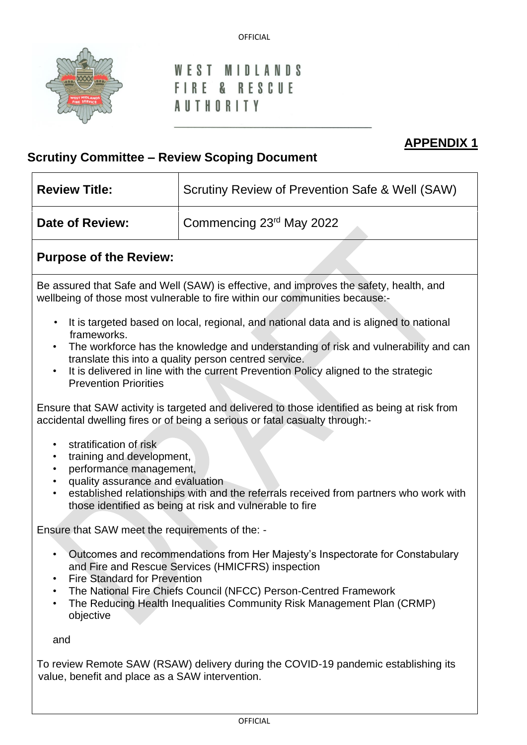

### **MIDLANDS** WFST FIRE & RESCUE **AUTHORITY**

# **APPENDIX 1**

# **Scrutiny Committee – Review Scoping Document**

| <b>Review Title:</b> | Scrutiny Review of Prevention Safe & Well (SAW) |  |  |
|----------------------|-------------------------------------------------|--|--|
| Date of Review:      | Commencing 23rd May 2022                        |  |  |

## **Purpose of the Review:**

Be assured that Safe and Well (SAW) is effective, and improves the safety, health, and wellbeing of those most vulnerable to fire within our communities because:-

- It is targeted based on local, regional, and national data and is aligned to national frameworks.
- The workforce has the knowledge and understanding of risk and vulnerability and can translate this into a quality person centred service.
- It is delivered in line with the current Prevention Policy aligned to the strategic Prevention Priorities

Ensure that SAW activity is targeted and delivered to those identified as being at risk from accidental dwelling fires or of being a serious or fatal casualty through:-

- stratification of risk
- training and development,
- performance management,
- quality assurance and evaluation
- established relationships with and the referrals received from partners who work with those identified as being at risk and vulnerable to fire

Ensure that SAW meet the requirements of the: -

- Outcomes and recommendations from Her Majesty's Inspectorate for Constabulary and Fire and Rescue Services (HMICFRS) inspection
- Fire Standard for Prevention
- The National Fire Chiefs Council (NFCC) Person-Centred Framework
- The Reducing Health Inequalities Community Risk Management Plan (CRMP) objective

and

To review Remote SAW (RSAW) delivery during the COVID-19 pandemic establishing its value, benefit and place as a SAW intervention.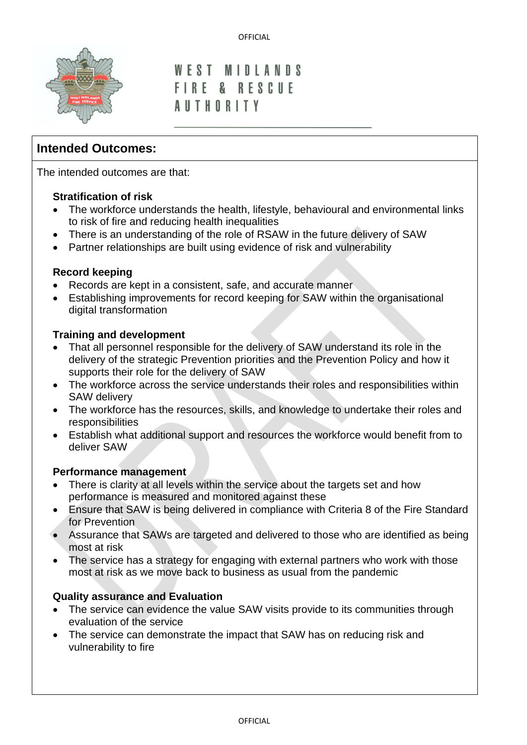

#### **MIDLANDS** WFST FIRE & RESCUE **AUTHORITY**

## **Intended Outcomes:**

The intended outcomes are that:

#### **Stratification of risk**

- The workforce understands the health, lifestyle, behavioural and environmental links to risk of fire and reducing health inequalities
- There is an understanding of the role of RSAW in the future delivery of SAW
- Partner relationships are built using evidence of risk and vulnerability

#### **Record keeping**

- Records are kept in a consistent, safe, and accurate manner
- Establishing improvements for record keeping for SAW within the organisational digital transformation

#### **Training and development**

- That all personnel responsible for the delivery of SAW understand its role in the delivery of the strategic Prevention priorities and the Prevention Policy and how it supports their role for the delivery of SAW
- The workforce across the service understands their roles and responsibilities within SAW delivery
- The workforce has the resources, skills, and knowledge to undertake their roles and responsibilities
- Establish what additional support and resources the workforce would benefit from to deliver SAW

#### **Performance management**

- There is clarity at all levels within the service about the targets set and how performance is measured and monitored against these
- Ensure that SAW is being delivered in compliance with Criteria 8 of the Fire Standard for Prevention
- Assurance that SAWs are targeted and delivered to those who are identified as being most at risk
- The service has a strategy for engaging with external partners who work with those most at risk as we move back to business as usual from the pandemic

#### **Quality assurance and Evaluation**

- The service can evidence the value SAW visits provide to its communities through evaluation of the service
- The service can demonstrate the impact that SAW has on reducing risk and vulnerability to fire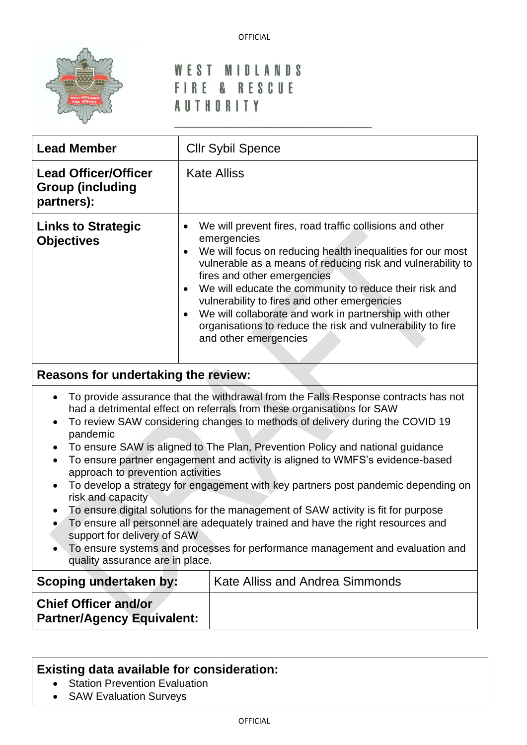

# WEST MIDLANDS FIRE & RESCUE **AUTHORITY**

| <b>Lead Member</b>                                                                                                                                                                                                                                                                                                                                                                                                                                                                                                                                                                                                                                                                                                                                                                                                                                                                                                             | <b>Cllr Sybil Spence</b>                                                                                                                                                                                                                                                                                                                                                                                                                                                                                                              |  |  |  |
|--------------------------------------------------------------------------------------------------------------------------------------------------------------------------------------------------------------------------------------------------------------------------------------------------------------------------------------------------------------------------------------------------------------------------------------------------------------------------------------------------------------------------------------------------------------------------------------------------------------------------------------------------------------------------------------------------------------------------------------------------------------------------------------------------------------------------------------------------------------------------------------------------------------------------------|---------------------------------------------------------------------------------------------------------------------------------------------------------------------------------------------------------------------------------------------------------------------------------------------------------------------------------------------------------------------------------------------------------------------------------------------------------------------------------------------------------------------------------------|--|--|--|
| <b>Lead Officer/Officer</b><br><b>Group (including</b><br>partners):                                                                                                                                                                                                                                                                                                                                                                                                                                                                                                                                                                                                                                                                                                                                                                                                                                                           | <b>Kate Alliss</b>                                                                                                                                                                                                                                                                                                                                                                                                                                                                                                                    |  |  |  |
| <b>Links to Strategic</b><br><b>Objectives</b>                                                                                                                                                                                                                                                                                                                                                                                                                                                                                                                                                                                                                                                                                                                                                                                                                                                                                 | We will prevent fires, road traffic collisions and other<br>$\bullet$<br>emergencies<br>We will focus on reducing health inequalities for our most<br>vulnerable as a means of reducing risk and vulnerability to<br>fires and other emergencies<br>We will educate the community to reduce their risk and<br>$\bullet$<br>vulnerability to fires and other emergencies<br>We will collaborate and work in partnership with other<br>$\bullet$<br>organisations to reduce the risk and vulnerability to fire<br>and other emergencies |  |  |  |
| Reasons for undertaking the review:                                                                                                                                                                                                                                                                                                                                                                                                                                                                                                                                                                                                                                                                                                                                                                                                                                                                                            |                                                                                                                                                                                                                                                                                                                                                                                                                                                                                                                                       |  |  |  |
| To provide assurance that the withdrawal from the Falls Response contracts has not<br>$\bullet$<br>had a detrimental effect on referrals from these organisations for SAW<br>To review SAW considering changes to methods of delivery during the COVID 19<br>pandemic<br>To ensure SAW is aligned to The Plan, Prevention Policy and national guidance<br>To ensure partner engagement and activity is aligned to WMFS's evidence-based<br>$\bullet$<br>approach to prevention activities<br>To develop a strategy for engagement with key partners post pandemic depending on<br>risk and capacity<br>To ensure digital solutions for the management of SAW activity is fit for purpose<br>To ensure all personnel are adequately trained and have the right resources and<br>support for delivery of SAW<br>To ensure systems and processes for performance management and evaluation and<br>quality assurance are in place. |                                                                                                                                                                                                                                                                                                                                                                                                                                                                                                                                       |  |  |  |
| Scoping undertaken by:                                                                                                                                                                                                                                                                                                                                                                                                                                                                                                                                                                                                                                                                                                                                                                                                                                                                                                         | Kate Alliss and Andrea Simmonds                                                                                                                                                                                                                                                                                                                                                                                                                                                                                                       |  |  |  |
| <b>Chief Officer and/or</b><br><b>Partner/Agency Equivalent:</b>                                                                                                                                                                                                                                                                                                                                                                                                                                                                                                                                                                                                                                                                                                                                                                                                                                                               |                                                                                                                                                                                                                                                                                                                                                                                                                                                                                                                                       |  |  |  |
|                                                                                                                                                                                                                                                                                                                                                                                                                                                                                                                                                                                                                                                                                                                                                                                                                                                                                                                                |                                                                                                                                                                                                                                                                                                                                                                                                                                                                                                                                       |  |  |  |

# **Existing data available for consideration:**

- Station Prevention Evaluation
- SAW Evaluation Surveys